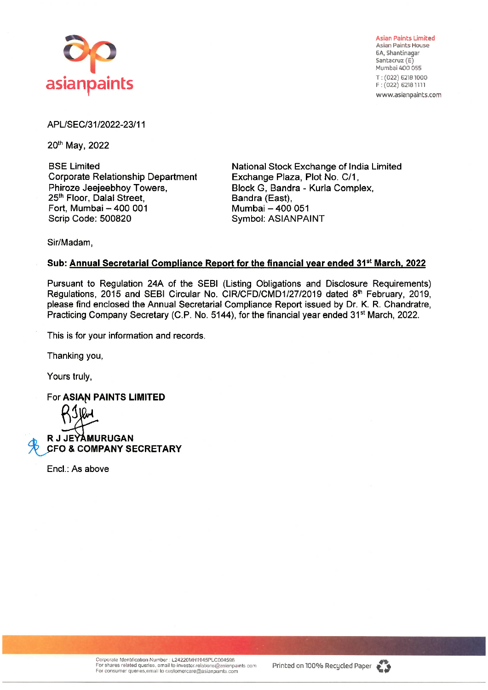

**Asian Paints Limited**  Asian Paints House 6A, Shantinagar Santacruz (E) Mumbai 400 055 T : (022) 62181000  $F: (022)$  6218 1111 www.asianpaints.com

## APL/SEC/31/2022-23/11

20th May, 2022

BSE Limited Corporate Relationship Department Phiroze Jeejeebhoy Towers, 25<sup>th</sup> Floor, Dalal Street, Fort, Mumbai-400 001 Scrip Code: 500820

National Stock Exchange of India Limited Exchange Plaza, Plot No. C/1, Block G, Bandra - Kurla Complex, Sandra (East), Mumbai - 400 051 Symbol: ASIANPAINT

Sir/Madam,

## **Sub: Annual Secretarial Compliance Report for the financial year ended 31st March, 2022**

Pursuant to Regulation 24A of the SEBI (Listing Obligations and Disclosure Requirements) Regulations, 2015 and SEBI Circular No. CIR/CFD/CMD1/27/2019 dated 8<sup>th</sup> February, 2019, please find enclosed the Annual Secretarial Compliance Report issued by Dr. K. R. Chandratre, Practicing Company Secretary (C.P. No. 5144), for the financial year ended 31<sup>st</sup> March, 2022.

This is for your information and records.

Thanking you,

Yours truly,

**For ASIAN PAINTS LIMITED** 

**R J JEYAMURUGAN ~ FO** & **COMPANY SECRETARY** 

Encl.: As above

Corporate Identification Number : L24220MH1945PLC004598<br>For shares related queries, email to investor relations@asianpaints com Printed on 100% Recycled Paper

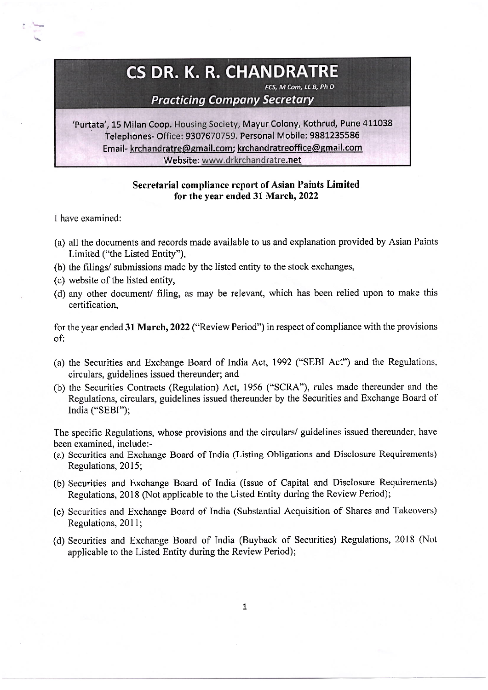## **CS DR. K. R. CHANDRATRE**

**FCS, M Com, LL B, Ph D** 

**Practicing Company Secretary** 

'Purtata', 15 Milan Coop. Housing Society, Mayur Colony, Kothrud, Pune 411038 Telephones- Office: 9307670759. Personal Mobile: 9881235586 Email- krchandratre@gmail.com; krchandratreoffice@gmail.com Website: www.drkrchandratre.net

## **Secretarial compliance report of Asian Paints Limited for the year ended 31 March, 2022**

I have examined:

- (a) all the documents and records made available to us and explanation provided by Asian Paints Limited ("the Listed Entity"),
- (b) the filings/ submissions made by the listed entity to the stock exchanges,
- (c) website of the listed entity,
- (d) any other document/ filing, as may be relevant, which has been relied upon to make this certification,

for the year ended **31 March, 2022** ("Review Period") in respect of compliance with the provisions of:

- ( a) the Securities and Exchange Board of India Act, 1992 ("SEBI Act") and the Regulations, circulars, guidelines issued thereunder; and
- (b) the Securities Contracts (Regulation) Act, 1956 ("SCRA"), rules made thereunder and the Regulations, circulars, guidelines issued thereunder by the Securities and Exchange Board of India ("SEBI");

The specific Regulations, whose provisions and the circulars/ guidelines issued thereunder, have been examined, include:-

- (a) Securities and Exchange Board of India (Listing Obligations and Disclosure Requirements) Regulations, 2015;
- (b) Securities and Exchange Board of India (Issue of Capital and Disclosure Requirements) Regulations, 2018 (Not applicable to the Listed Entity during the Review Period);
- (c) Securities and Exchange Board of India (Substantial Acquisition of Shares and Takeovers) Regulations, 2011:
- (d) Securities and Exchange Board of India (Buyback of Securities) Regulations, 2018 (Not applicable to the Listed Entity during the Review Period);